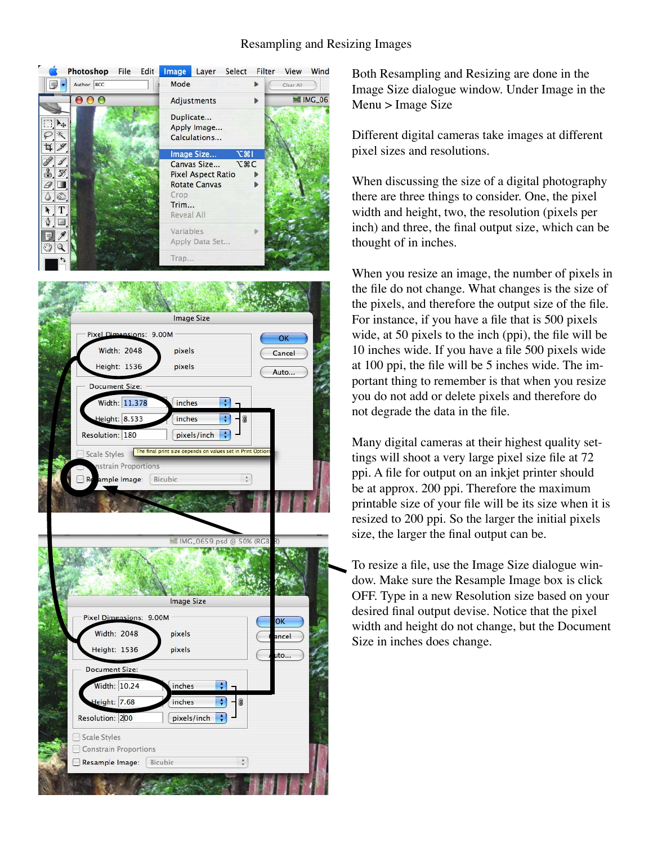## Resampling and Resizing Images



Both Resampling and Resizing are done in the Image Size dialogue window. Under Image in the Menu > Image Size

Different digital cameras take images at different pixel sizes and resolutions.

When discussing the size of a digital photography there are three things to consider. One, the pixel width and height, two, the resolution (pixels per inch) and three, the final output size, which can be thought of in inches.

When you resize an image, the number of pixels in the file do not change. What changes is the size of the pixels, and therefore the output size of the file. For instance, if you have a file that is 500 pixels wide, at 50 pixels to the inch (ppi), the file will be 10 inches wide. If you have a file 500 pixels wide at 100 ppi, the file will be 5 inches wide. The important thing to remember is that when you resize you do not add or delete pixels and therefore do not degrade the data in the file.

Many digital cameras at their highest quality settings will shoot a very large pixel size file at 72 ppi. A file for output on an inkjet printer should be at approx. 200 ppi. Therefore the maximum printable size of your file will be its size when it is resized to 200 ppi. So the larger the initial pixels size, the larger the final output can be.

To resize a file, use the Image Size dialogue window. Make sure the Resample Image box is click OFF. Type in a new Resolution size based on your desired final output devise. Notice that the pixel width and height do not change, but the Document Size in inches does change.